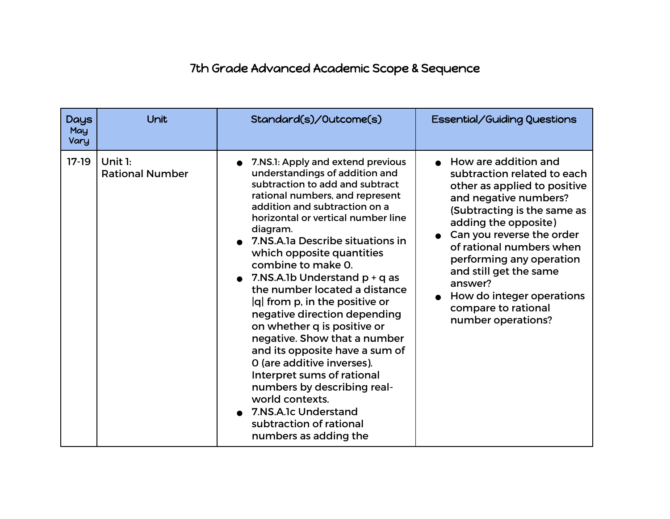## 7th Grade Advanced Academic Scope & Sequence

| <b>Days</b><br>May<br>Vary | Unit                              | Standard(s)/Outcome(s)                                                                                                                                                                                                                                                                                                                                                                                                                                                                                                                                                                                                                                                                                                                                     | Essential/Guiding Questions                                                                                                                                                                                                                                                                                                                                             |
|----------------------------|-----------------------------------|------------------------------------------------------------------------------------------------------------------------------------------------------------------------------------------------------------------------------------------------------------------------------------------------------------------------------------------------------------------------------------------------------------------------------------------------------------------------------------------------------------------------------------------------------------------------------------------------------------------------------------------------------------------------------------------------------------------------------------------------------------|-------------------------------------------------------------------------------------------------------------------------------------------------------------------------------------------------------------------------------------------------------------------------------------------------------------------------------------------------------------------------|
| $17-19$                    | Unit 1:<br><b>Rational Number</b> | 7.NS.1: Apply and extend previous<br>understandings of addition and<br>subtraction to add and subtract<br>rational numbers, and represent<br>addition and subtraction on a<br>horizontal or vertical number line<br>diagram.<br>• 7.NS.A.1a Describe situations in<br>which opposite quantities<br>combine to make 0.<br>• 7.NS.A.1b Understand $p + q$ as<br>the number located a distance<br>$ q $ from p, in the positive or<br>negative direction depending<br>on whether q is positive or<br>negative. Show that a number<br>and its opposite have a sum of<br>O (are additive inverses).<br>Interpret sums of rational<br>numbers by describing real-<br>world contexts.<br>7.NS.A.1c Understand<br>subtraction of rational<br>numbers as adding the | How are addition and<br>subtraction related to each<br>other as applied to positive<br>and negative numbers?<br>(Subtracting is the same as<br>adding the opposite)<br>Can you reverse the order<br>of rational numbers when<br>performing any operation<br>and still get the same<br>answer?<br>How do integer operations<br>compare to rational<br>number operations? |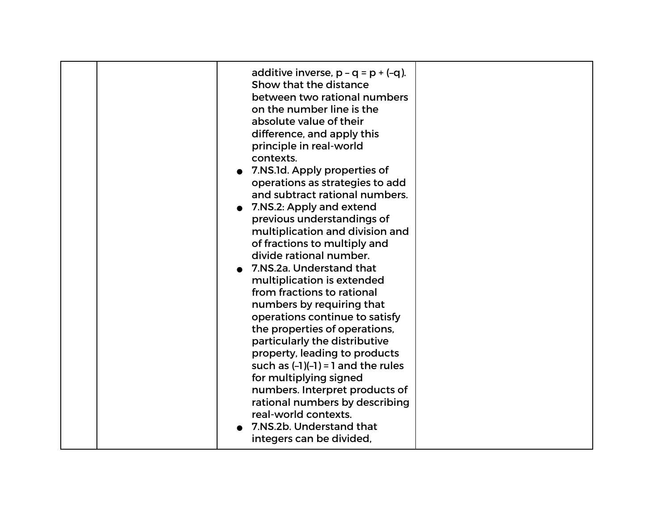| real-world contexts.<br>7.NS.2b. Understand that<br>integers can be divided, |  | additive inverse, $p - q = p + (-q)$ .<br>Show that the distance<br>between two rational numbers<br>on the number line is the<br>absolute value of their<br>difference, and apply this<br>principle in real-world<br>contexts.<br>7.NS.1d. Apply properties of<br>operations as strategies to add<br>and subtract rational numbers.<br>• 7.NS.2: Apply and extend<br>previous understandings of<br>multiplication and division and<br>of fractions to multiply and<br>divide rational number.<br>7.NS.2a. Understand that<br>multiplication is extended<br>from fractions to rational<br>numbers by requiring that<br>operations continue to satisfy<br>the properties of operations,<br>particularly the distributive<br>property, leading to products<br>such as $(-1)(-1) = 1$ and the rules<br>for multiplying signed<br>numbers. Interpret products of<br>rational numbers by describing |  |
|------------------------------------------------------------------------------|--|-----------------------------------------------------------------------------------------------------------------------------------------------------------------------------------------------------------------------------------------------------------------------------------------------------------------------------------------------------------------------------------------------------------------------------------------------------------------------------------------------------------------------------------------------------------------------------------------------------------------------------------------------------------------------------------------------------------------------------------------------------------------------------------------------------------------------------------------------------------------------------------------------|--|
|------------------------------------------------------------------------------|--|-----------------------------------------------------------------------------------------------------------------------------------------------------------------------------------------------------------------------------------------------------------------------------------------------------------------------------------------------------------------------------------------------------------------------------------------------------------------------------------------------------------------------------------------------------------------------------------------------------------------------------------------------------------------------------------------------------------------------------------------------------------------------------------------------------------------------------------------------------------------------------------------------|--|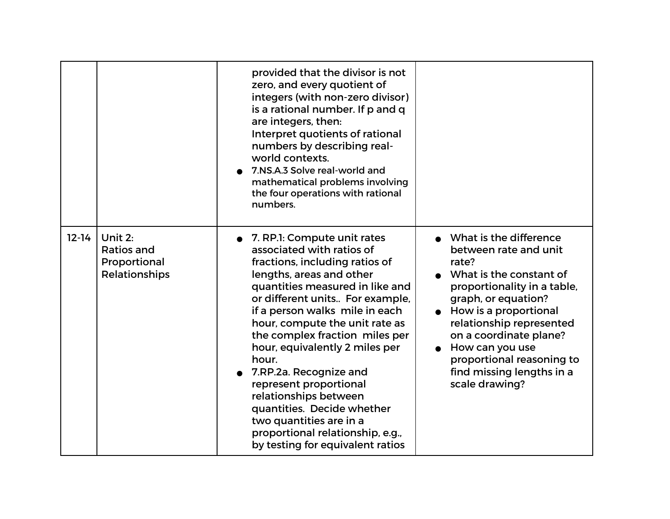|           |                                                               | provided that the divisor is not<br>zero, and every quotient of<br>integers (with non-zero divisor)<br>is a rational number. If p and q<br>are integers, then:<br>Interpret quotients of rational<br>numbers by describing real-<br>world contexts.<br>7.NS.A.3 Solve real-world and<br>mathematical problems involving<br>the four operations with rational<br>numbers.                                                                                                                                                                                    |                                                                                                                                                                                                                                                                                                                             |
|-----------|---------------------------------------------------------------|-------------------------------------------------------------------------------------------------------------------------------------------------------------------------------------------------------------------------------------------------------------------------------------------------------------------------------------------------------------------------------------------------------------------------------------------------------------------------------------------------------------------------------------------------------------|-----------------------------------------------------------------------------------------------------------------------------------------------------------------------------------------------------------------------------------------------------------------------------------------------------------------------------|
| $12 - 14$ | Unit 2:<br><b>Ratios and</b><br>Proportional<br>Relationships | 7. RP.1: Compute unit rates<br>associated with ratios of<br>fractions, including ratios of<br>lengths, areas and other<br>quantities measured in like and<br>or different units For example,<br>if a person walks mile in each<br>hour, compute the unit rate as<br>the complex fraction miles per<br>hour, equivalently 2 miles per<br>hour.<br>7.RP.2a. Recognize and<br>represent proportional<br>relationships between<br>quantities. Decide whether<br>two quantities are in a<br>proportional relationship, e.g.,<br>by testing for equivalent ratios | • What is the difference<br>between rate and unit<br>rate?<br>What is the constant of<br>proportionality in a table,<br>graph, or equation?<br>• How is a proportional<br>relationship represented<br>on a coordinate plane?<br>How can you use<br>proportional reasoning to<br>find missing lengths in a<br>scale drawing? |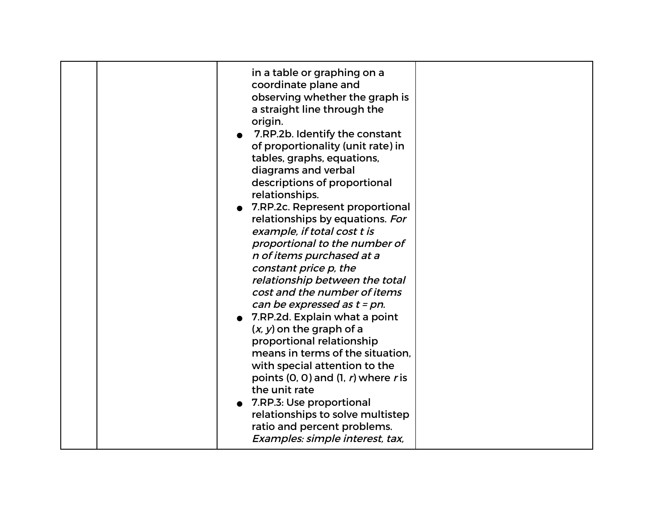| in a table or graphing on a<br>coordinate plane and<br>observing whether the graph is<br>a straight line through the<br>origin.<br>7.RP.2b. Identify the constant<br>of proportionality (unit rate) in<br>tables, graphs, equations,<br>diagrams and verbal<br>descriptions of proportional<br>relationships.<br>7.RP.2c. Represent proportional<br>relationships by equations. For<br>example, if total cost t is<br>proportional to the number of<br>n of items purchased at a<br>constant price p, the<br>relationship between the total<br>cost and the number of items<br>can be expressed as $t = pn$ .<br>7.RP.2d. Explain what a point<br>$(x, y)$ on the graph of a<br>proportional relationship<br>means in terms of the situation.<br>with special attention to the<br>points $(0, 0)$ and $(1, r)$ where r is<br>the unit rate<br>7.RP.3: Use proportional<br>relationships to solve multistep<br>ratio and percent problems.<br>Examples: simple interest, tax, |  |
|------------------------------------------------------------------------------------------------------------------------------------------------------------------------------------------------------------------------------------------------------------------------------------------------------------------------------------------------------------------------------------------------------------------------------------------------------------------------------------------------------------------------------------------------------------------------------------------------------------------------------------------------------------------------------------------------------------------------------------------------------------------------------------------------------------------------------------------------------------------------------------------------------------------------------------------------------------------------------|--|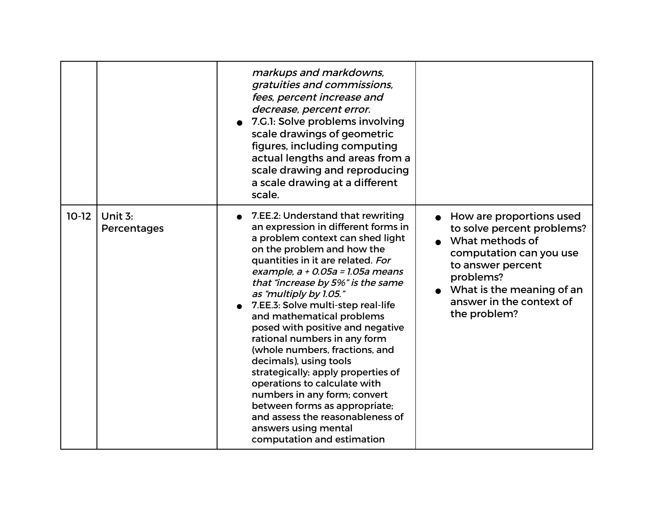|         |                          | markups and markdowns,<br>gratuities and commissions,<br>fees, percent increase and<br>decrease, percent error.<br>7.G.1: Solve problems involving<br>scale drawings of geometric<br>figures, including computing<br>actual lengths and areas from a<br>scale drawing and reproducing<br>a scale drawing at a different<br>scale.                                                                                                                                                                                                                                                                                                                                                                                        |                                                                                                                                                                                                                   |
|---------|--------------------------|--------------------------------------------------------------------------------------------------------------------------------------------------------------------------------------------------------------------------------------------------------------------------------------------------------------------------------------------------------------------------------------------------------------------------------------------------------------------------------------------------------------------------------------------------------------------------------------------------------------------------------------------------------------------------------------------------------------------------|-------------------------------------------------------------------------------------------------------------------------------------------------------------------------------------------------------------------|
| $10-12$ | Unit $3:$<br>Percentages | 7.EE.2: Understand that rewriting<br>an expression in different forms in<br>a problem context can shed light<br>on the problem and how the<br>quantities in it are related. For<br>example, $a + 0.05a = 1.05a$ means<br>that "increase by 5%" is the same<br>as "multiply by 1.05."<br>7.EE.3: Solve multi-step real-life<br>and mathematical problems<br>posed with positive and negative<br>rational numbers in any form<br>(whole numbers, fractions, and<br>decimals), using tools<br>strategically; apply properties of<br>operations to calculate with<br>numbers in any form; convert<br>between forms as appropriate;<br>and assess the reasonableness of<br>answers using mental<br>computation and estimation | How are proportions used<br>to solve percent problems?<br>• What methods of<br>computation can you use<br>to answer percent<br>problems?<br>What is the meaning of an<br>answer in the context of<br>the problem? |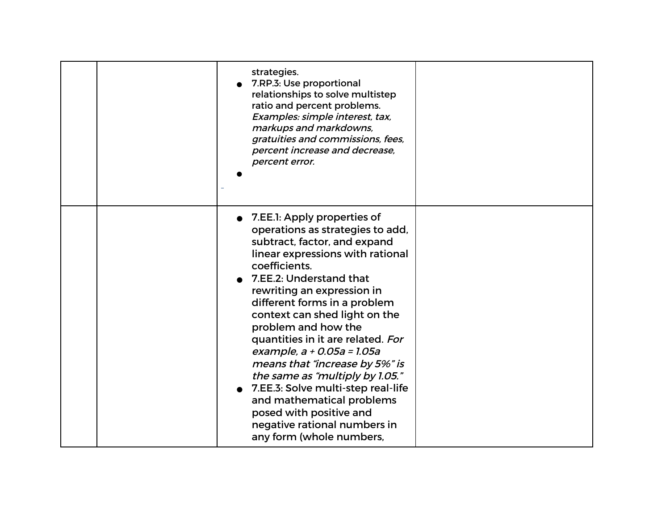| strategies.<br>7.RP.3: Use proportional<br>relationships to solve multistep<br>ratio and percent problems.<br>Examples: simple interest, tax,<br>markups and markdowns,<br>gratuities and commissions, fees,<br>percent increase and decrease,<br>percent error.                                                                                                                                                                                                                                                                                                                                        |  |
|---------------------------------------------------------------------------------------------------------------------------------------------------------------------------------------------------------------------------------------------------------------------------------------------------------------------------------------------------------------------------------------------------------------------------------------------------------------------------------------------------------------------------------------------------------------------------------------------------------|--|
| 7.EE.1: Apply properties of<br>operations as strategies to add,<br>subtract, factor, and expand<br>linear expressions with rational<br>coefficients.<br>7.EE.2: Understand that<br>rewriting an expression in<br>different forms in a problem<br>context can shed light on the<br>problem and how the<br>quantities in it are related. For<br>example, a + 0.05a = 1.05a<br>means that "increase by 5%" is<br>the same as "multiply by 1.05."<br>7.EE.3: Solve multi-step real-life<br>and mathematical problems<br>posed with positive and<br>negative rational numbers in<br>any form (whole numbers, |  |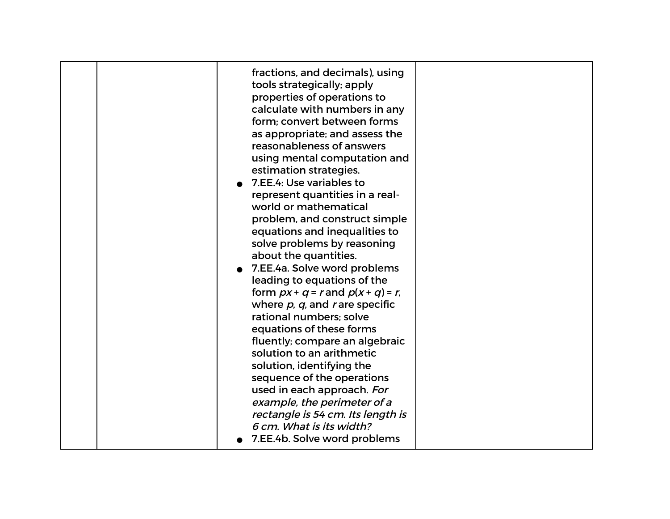| fractions, and decimals), using<br>tools strategically; apply<br>properties of operations to<br>calculate with numbers in any<br>form; convert between forms                                                                                                                                                                                                                                                                                     |  |
|--------------------------------------------------------------------------------------------------------------------------------------------------------------------------------------------------------------------------------------------------------------------------------------------------------------------------------------------------------------------------------------------------------------------------------------------------|--|
| as appropriate; and assess the<br>reasonableness of answers<br>using mental computation and<br>estimation strategies.<br>7.EE.4: Use variables to<br>represent quantities in a real-<br>world or mathematical<br>problem, and construct simple<br>equations and inequalities to<br>solve problems by reasoning<br>about the quantities.<br>7.EE.4a. Solve word problems<br>leading to equations of the<br>form $px + q = r$ and $p(x + q) = r$ , |  |
| where $p$ , $q$ , and r are specific<br>rational numbers; solve<br>equations of these forms<br>fluently; compare an algebraic<br>solution to an arithmetic<br>solution, identifying the<br>sequence of the operations<br>used in each approach. For<br>example, the perimeter of a<br>rectangle is 54 cm. Its length is<br>6 cm. What is its width?<br>7.EE.4b. Solve word problems                                                              |  |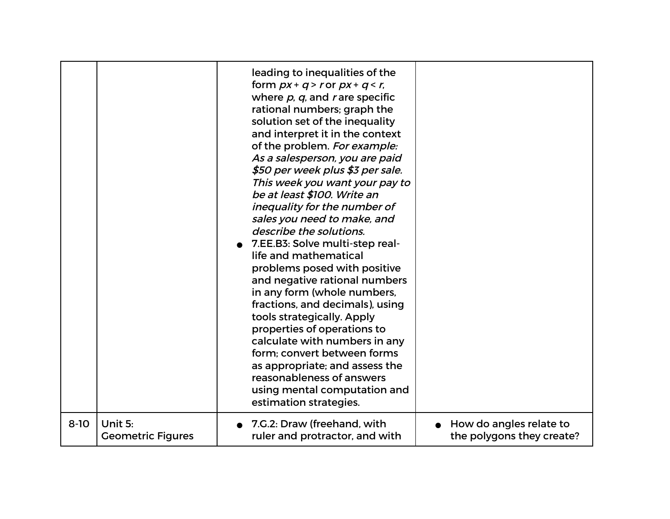|          |                          | leading to inequalities of the<br>form $px + q > r$ or $px + q < r$ ,<br>where $p$ , $q$ , and r are specific<br>rational numbers; graph the<br>solution set of the inequality<br>and interpret it in the context<br>of the problem. For example:<br>As a salesperson, you are paid<br>\$50 per week plus \$3 per sale.<br>This week you want your pay to<br>be at least \$100. Write an<br>inequality for the number of<br>sales you need to make, and<br>describe the solutions.<br>7.EE.B3: Solve multi-step real-<br>life and mathematical<br>problems posed with positive<br>and negative rational numbers<br>in any form (whole numbers,<br>fractions, and decimals), using<br>tools strategically. Apply<br>properties of operations to<br>calculate with numbers in any<br>form; convert between forms<br>as appropriate; and assess the<br>reasonableness of answers<br>using mental computation and<br>estimation strategies. |                           |
|----------|--------------------------|-----------------------------------------------------------------------------------------------------------------------------------------------------------------------------------------------------------------------------------------------------------------------------------------------------------------------------------------------------------------------------------------------------------------------------------------------------------------------------------------------------------------------------------------------------------------------------------------------------------------------------------------------------------------------------------------------------------------------------------------------------------------------------------------------------------------------------------------------------------------------------------------------------------------------------------------|---------------------------|
| $8 - 10$ | Unit 5:                  | 7.G.2: Draw (freehand, with                                                                                                                                                                                                                                                                                                                                                                                                                                                                                                                                                                                                                                                                                                                                                                                                                                                                                                             | How do angles relate to   |
|          | <b>Geometric Figures</b> | ruler and protractor, and with                                                                                                                                                                                                                                                                                                                                                                                                                                                                                                                                                                                                                                                                                                                                                                                                                                                                                                          | the polygons they create? |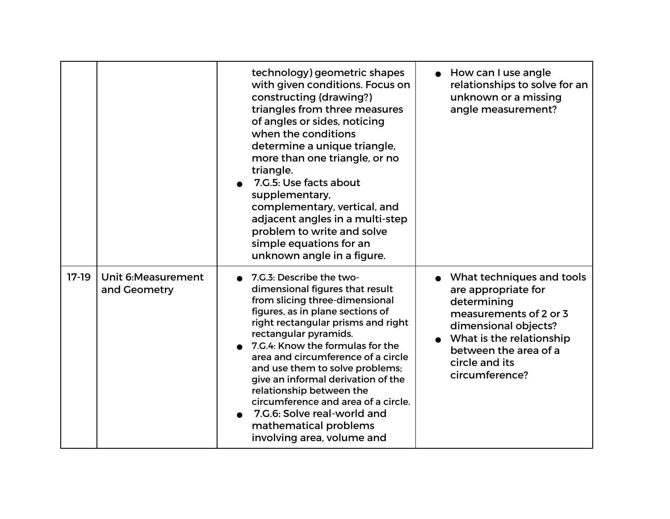|         |                                     | technology) geometric shapes<br>with given conditions. Focus on<br>constructing (drawing?)<br>triangles from three measures<br>of angles or sides, noticing<br>when the conditions<br>determine a unique triangle,<br>more than one triangle, or no<br>triangle.<br>7.G.5: Use facts about<br>supplementary,<br>complementary, vertical, and<br>adjacent angles in a multi-step<br>problem to write and solve<br>simple equations for an<br>unknown angle in a figure.                                       | $\bullet$ How can I use angle<br>relationships to solve for an<br>unknown or a missing<br>angle measurement?                                                                                               |
|---------|-------------------------------------|--------------------------------------------------------------------------------------------------------------------------------------------------------------------------------------------------------------------------------------------------------------------------------------------------------------------------------------------------------------------------------------------------------------------------------------------------------------------------------------------------------------|------------------------------------------------------------------------------------------------------------------------------------------------------------------------------------------------------------|
| $17-19$ | Unit 6: Measurement<br>and Geometry | 7.G.3: Describe the two-<br>dimensional figures that result<br>from slicing three-dimensional<br>figures, as in plane sections of<br>right rectangular prisms and right<br>rectangular pyramids.<br>7.G.4: Know the formulas for the<br>area and circumference of a circle<br>and use them to solve problems;<br>give an informal derivation of the<br>relationship between the<br>circumference and area of a circle.<br>7.G.6: Solve real-world and<br>mathematical problems<br>involving area, volume and | What techniques and tools<br>are appropriate for<br>determining<br>measurements of 2 or 3<br>dimensional objects?<br>What is the relationship<br>between the area of a<br>circle and its<br>circumference? |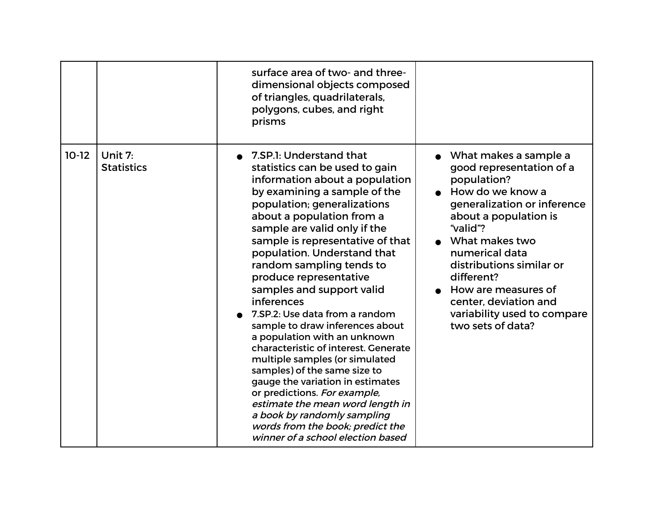|         |                              | surface area of two- and three-<br>dimensional objects composed<br>of triangles, quadrilaterals,<br>polygons, cubes, and right<br>prisms                                                                                                                                                                                                                                                                                                                                                                                                                                                                                                                                                                                                                                                                                   |                                                                                                                                                                                                                                                                                                                                              |
|---------|------------------------------|----------------------------------------------------------------------------------------------------------------------------------------------------------------------------------------------------------------------------------------------------------------------------------------------------------------------------------------------------------------------------------------------------------------------------------------------------------------------------------------------------------------------------------------------------------------------------------------------------------------------------------------------------------------------------------------------------------------------------------------------------------------------------------------------------------------------------|----------------------------------------------------------------------------------------------------------------------------------------------------------------------------------------------------------------------------------------------------------------------------------------------------------------------------------------------|
| $10-12$ | Unit 7:<br><b>Statistics</b> | 7.SP.1: Understand that<br>statistics can be used to gain<br>information about a population<br>by examining a sample of the<br>population; generalizations<br>about a population from a<br>sample are valid only if the<br>sample is representative of that<br>population. Understand that<br>random sampling tends to<br>produce representative<br>samples and support valid<br>inferences<br>7.SP.2: Use data from a random<br>sample to draw inferences about<br>a population with an unknown<br>characteristic of interest. Generate<br>multiple samples (or simulated<br>samples) of the same size to<br>gauge the variation in estimates<br>or predictions. For example,<br>estimate the mean word length in<br>a book by randomly sampling<br>words from the book; predict the<br>winner of a school election based | What makes a sample a<br>good representation of a<br>population?<br>• How do we know a<br>generalization or inference<br>about a population is<br>"valid"?<br>What makes two<br>numerical data<br>distributions similar or<br>different?<br>How are measures of<br>center, deviation and<br>variability used to compare<br>two sets of data? |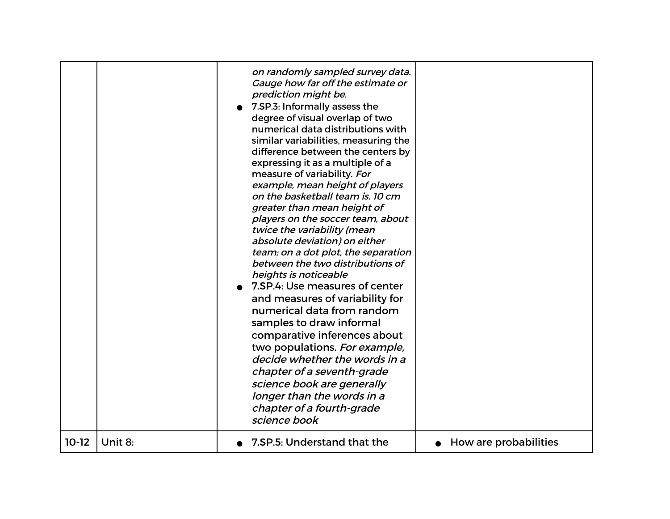|         |         | on randomly sampled survey data.<br>Gauge how far off the estimate or<br>prediction might be.<br>7.SP.3: Informally assess the<br>degree of visual overlap of two<br>numerical data distributions with<br>similar variabilities, measuring the<br>difference between the centers by<br>expressing it as a multiple of a<br>measure of variability. For<br>example, mean height of players<br>on the basketball team is. 10 cm<br>greater than mean height of<br>players on the soccer team, about<br>twice the variability (mean<br>absolute deviation) on either<br>team; on a dot plot, the separation<br>between the two distributions of<br>heights is noticeable<br>7.SP.4: Use measures of center<br>and measures of variability for<br>numerical data from random<br>samples to draw informal<br>comparative inferences about<br>two populations. For example,<br>decide whether the words in a<br>chapter of a seventh-grade<br>science book are generally<br>longer than the words in a<br>chapter of a fourth-grade<br>science book |                       |
|---------|---------|-----------------------------------------------------------------------------------------------------------------------------------------------------------------------------------------------------------------------------------------------------------------------------------------------------------------------------------------------------------------------------------------------------------------------------------------------------------------------------------------------------------------------------------------------------------------------------------------------------------------------------------------------------------------------------------------------------------------------------------------------------------------------------------------------------------------------------------------------------------------------------------------------------------------------------------------------------------------------------------------------------------------------------------------------|-----------------------|
| $10-12$ | Unit 8: | 7.SP.5: Understand that the                                                                                                                                                                                                                                                                                                                                                                                                                                                                                                                                                                                                                                                                                                                                                                                                                                                                                                                                                                                                                   | How are probabilities |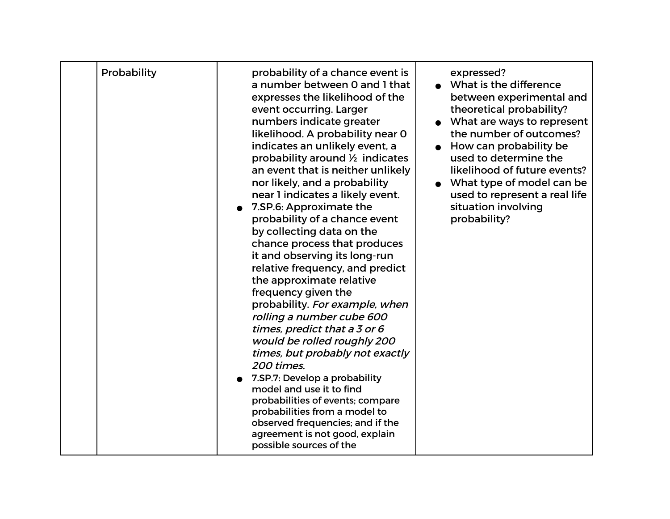| Probability | probability of a chance event is<br>a number between 0 and 1 that<br>expresses the likelihood of the<br>event occurring. Larger<br>numbers indicate greater<br>likelihood. A probability near 0<br>indicates an unlikely event, a<br>probability around 1/2 indicates<br>an event that is neither unlikely<br>nor likely, and a probability<br>near 1 indicates a likely event.<br>• 7.SP.6: Approximate the<br>probability of a chance event<br>by collecting data on the<br>chance process that produces<br>it and observing its long-run<br>relative frequency, and predict<br>the approximate relative<br>frequency given the<br>probability. For example, when<br>rolling a number cube 600<br>times, predict that a 3 or 6<br>would be rolled roughly 200<br>times, but probably not exactly<br>200 times.<br>7.SP.7: Develop a probability<br>model and use it to find<br>probabilities of events; compare<br>probabilities from a model to<br>observed frequencies; and if the<br>agreement is not good, explain<br>possible sources of the | expressed?<br>• What is the difference<br>between experimental and<br>theoretical probability?<br>What are ways to represent<br>the number of outcomes?<br>• How can probability be<br>used to determine the<br>likelihood of future events?<br>What type of model can be<br>used to represent a real life<br>situation involving<br>probability? |
|-------------|-----------------------------------------------------------------------------------------------------------------------------------------------------------------------------------------------------------------------------------------------------------------------------------------------------------------------------------------------------------------------------------------------------------------------------------------------------------------------------------------------------------------------------------------------------------------------------------------------------------------------------------------------------------------------------------------------------------------------------------------------------------------------------------------------------------------------------------------------------------------------------------------------------------------------------------------------------------------------------------------------------------------------------------------------------|---------------------------------------------------------------------------------------------------------------------------------------------------------------------------------------------------------------------------------------------------------------------------------------------------------------------------------------------------|
|-------------|-----------------------------------------------------------------------------------------------------------------------------------------------------------------------------------------------------------------------------------------------------------------------------------------------------------------------------------------------------------------------------------------------------------------------------------------------------------------------------------------------------------------------------------------------------------------------------------------------------------------------------------------------------------------------------------------------------------------------------------------------------------------------------------------------------------------------------------------------------------------------------------------------------------------------------------------------------------------------------------------------------------------------------------------------------|---------------------------------------------------------------------------------------------------------------------------------------------------------------------------------------------------------------------------------------------------------------------------------------------------------------------------------------------------|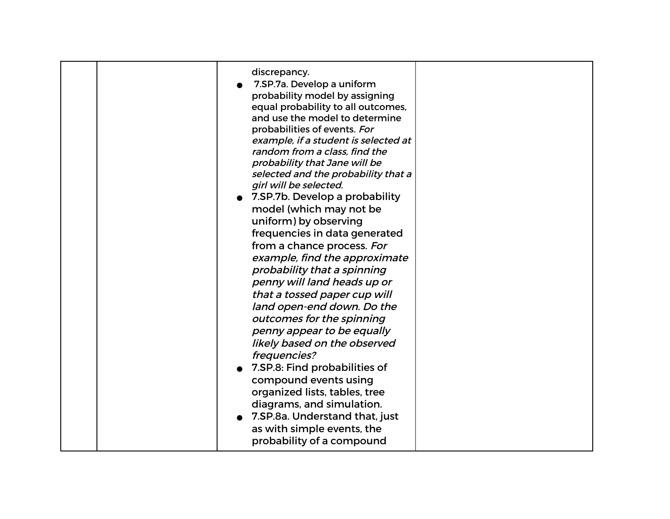| discrepancy.                                                   |  |
|----------------------------------------------------------------|--|
| 7.SP.7a. Develop a uniform                                     |  |
| probability model by assigning                                 |  |
| equal probability to all outcomes,                             |  |
| and use the model to determine                                 |  |
| probabilities of events. For                                   |  |
| example, if a student is selected at                           |  |
| random from a class, find the<br>probability that Jane will be |  |
| selected and the probability that a                            |  |
| girl will be selected.                                         |  |
| 7.SP.7b. Develop a probability                                 |  |
| model (which may not be                                        |  |
| uniform) by observing                                          |  |
|                                                                |  |
| frequencies in data generated                                  |  |
| from a chance process. For                                     |  |
| example, find the approximate                                  |  |
| probability that a spinning                                    |  |
| penny will land heads up or                                    |  |
| that a tossed paper cup will                                   |  |
| land open-end down. Do the                                     |  |
| outcomes for the spinning                                      |  |
| penny appear to be equally                                     |  |
| likely based on the observed                                   |  |
| frequencies?                                                   |  |
| 7.SP.8: Find probabilities of                                  |  |
| compound events using                                          |  |
| organized lists, tables, tree                                  |  |
| diagrams, and simulation.                                      |  |
| • 7.SP.8a. Understand that, just                               |  |
| as with simple events, the                                     |  |
| probability of a compound                                      |  |
|                                                                |  |